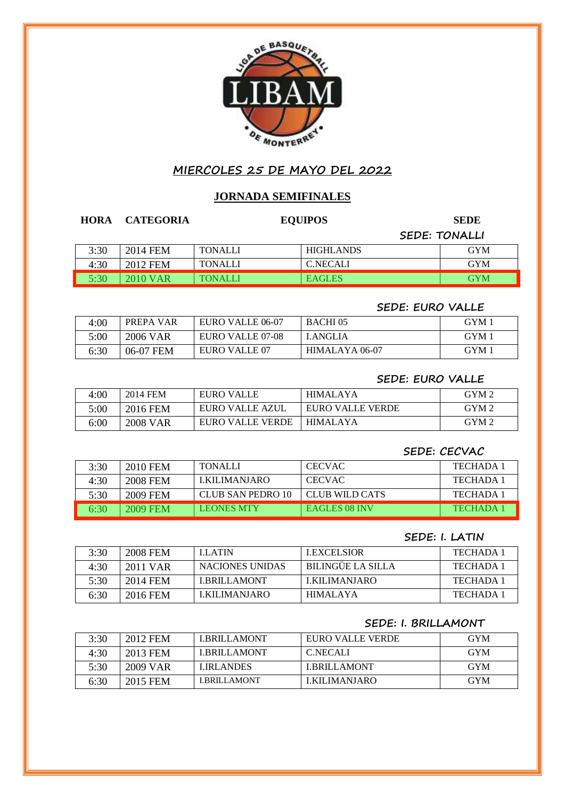

# **MIERCOLES 25 DE MAYO DEL 2022**

## **JORNADA SEMIFINALES**

| <b>HORA</b> | <b>CATEGORIA</b> |                | <b>EQUIPOS</b>   | <b>SEDE</b>          |
|-------------|------------------|----------------|------------------|----------------------|
|             |                  |                |                  | <b>SEDE: TONALLI</b> |
| 3:30        | 2014 FEM         | <b>TONALLI</b> | <b>HIGHLANDS</b> | <b>GYM</b>           |
| 4:30        | 2012 FEM         | <b>TONALLI</b> | <b>C.NECALI</b>  | <b>GYM</b>           |
| 5:30        | 2010 VAR         | <b>TONALLI</b> | <b>EAGLES</b>    | <b>GYM</b>           |

## **SEDE: EURO VALLE**

| 4:00 | PREPA VAR | EURO VALLE 06-07 | <b>BACHI</b> 05 | GYM 1 |
|------|-----------|------------------|-----------------|-------|
| 5:00 | 2006 VAR  | EURO VALLE 07-08 | <b>LANGLIA</b>  | GYM 1 |
| 6:30 | 06-07 FEM | EURO VALLE 07    | HIMALAYA 06-07  | GYM 1 |

## **SEDE: EURO VALLE**

| 4:00 | 2014 FEM        | EURO VALLE       | <b>HIMALAYA</b>  | GYM <sub>2</sub> |
|------|-----------------|------------------|------------------|------------------|
| 5:00 | 2016 FEM        | EURO VALLE AZUL  | EURO VALLE VERDE | GYM <sub>2</sub> |
| 6:00 | <b>2008 VAR</b> | EURO VALLE VERDE | HIMALAYA         | GYM 2            |

### **SEDE: CECVAC**

| 3:30 | 2010 FEM | <b>TONALLI</b>    | <b>CECVAC</b>        | TECHADA 1       |
|------|----------|-------------------|----------------------|-----------------|
| 4:30 | 2008 FEM | LKILIMANIARO      | <b>CECVAC</b>        | TECHADA 1       |
| 5:30 | 2009 FEM | CLUB SAN PEDRO 10 | CLUB WILD CATS       | TECHADA 1       |
| 6:30 | 2009 FEM | <b>LEONES MTY</b> | <b>EAGLES 08 INV</b> | <b>TECHADA1</b> |

# **SEDE: I. LATIN**

| 3:30 | 2008 FEM | <b>LLATIN</b>      | LEXCEL SIOR              | <b>TECHADA 1</b> |
|------|----------|--------------------|--------------------------|------------------|
| 4:30 | 2011 VAR | NACIONES UNIDAS    | <b>BILINGUE LA SILLA</b> | <b>TECHADA1</b>  |
| 5:30 | 2014 FEM | <b>LBRILLAMONT</b> | LKILIMANIARO             | <b>TECHADA1</b>  |
| 6:30 | 2016 FEM | LKILIMANIARO       | HIMALAYA                 | <b>TECHADA1</b>  |

### **SEDE: I. BRILLAMONT**

| 3:30 | 2012 FEM | <b>LBRILLAMONT</b> | EURO VALLE VERDE   | <b>GYM</b> |
|------|----------|--------------------|--------------------|------------|
| 4:30 | 2013 FEM | <b>LBRILLAMONT</b> | <b>C.NECALI</b>    | <b>GYM</b> |
| 5:30 | 2009 VAR | <b>LIRLANDES</b>   | <b>LBRILLAMONT</b> | <b>GYM</b> |
| 6:30 | 2015 FEM | LBRILLAMONT        | LKILIMANIARO       | <b>GYM</b> |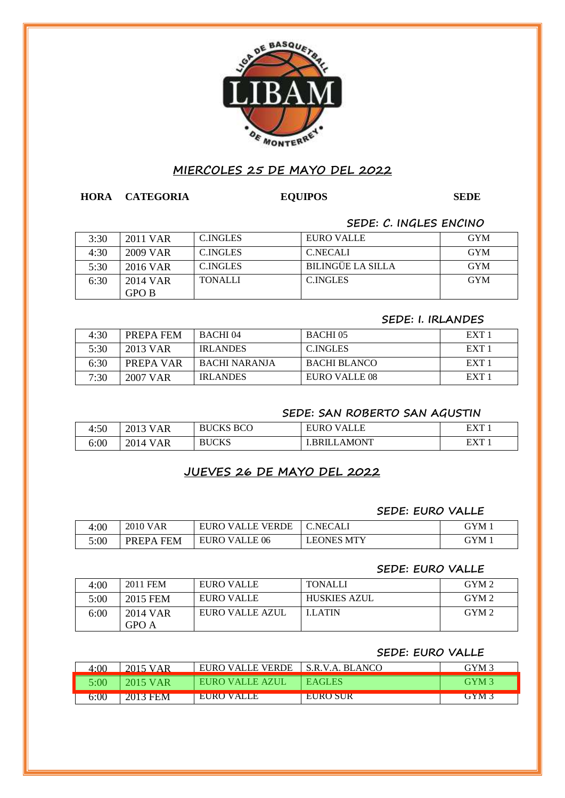

## **MIERCOLES 25 DE MAYO DEL 2022**

## **HORA CATEGORIA EQUIPOS SEDE**

## **SEDE: C. INGLES ENCINO**

| 3:30 | 2011 VAR | <b>C.INGLES</b> | EURO VALLE        | <b>GYM</b> |
|------|----------|-----------------|-------------------|------------|
| 4:30 | 2009 VAR | <b>C.INGLES</b> | <b>C.NECALI</b>   | <b>GYM</b> |
| 5:30 | 2016 VAR | <b>C.INGLES</b> | BILINGÜE LA SILLA | <b>GYM</b> |
| 6:30 | 2014 VAR | <b>TONALLI</b>  | <b>C.INGLES</b>   | <b>GYM</b> |
|      | GPO B    |                 |                   |            |

#### **SEDE: I. IRLANDES**

| 4:30 | PREPA FEM | BACHI04         | BACHI 05      | EXT <sub>1</sub> |
|------|-----------|-----------------|---------------|------------------|
| 5:30 | 2013 VAR  | <b>IRLANDES</b> | C. INGLES     | EXT <sub>1</sub> |
| 6:30 | PREPA VAR | BACHI NARANIA   | BACHI BLANCO  | EXT 1            |
| 7:30 | 2007 VAR  | <b>IRLANDES</b> | EURO VALLE 08 | EXT <sub>1</sub> |

### **SEDE: SAN ROBERTO SAN AGUSTIN**

| 4:50 | AΚ<br>ZU 1   | BCO                   | LЕ<br>$\Delta$<br>ואו<br>н<br>$\mathbf{v}$ | <b>EYT</b> |
|------|--------------|-----------------------|--------------------------------------------|------------|
| 6:00 | 7014 -<br>ĄΚ | $\alpha$ vc<br>ш<br>ີ | <b>MONT</b><br>к R                         | E Y T      |

# **JUEVES 26 DE MAYO DEL 2022**

#### **SEDE: EURO VALLE**

| 4:00 | 2010 VAR                   | EURO VALLE VERDE | C.NECALI          | GYM 1 |
|------|----------------------------|------------------|-------------------|-------|
| 5:00 | <b>FEM</b><br><b>PREPA</b> | EURO VALLE 06    | <b>LEONES MTY</b> | GYM 1 |

#### **SEDE: EURO VALLE**

| 4:00 | 2011 FEM | EURO VALLE      | <b>TONALLI</b>      | GYM <sub>2</sub> |
|------|----------|-----------------|---------------------|------------------|
| 5:00 | 2015 FEM | EURO VALLE      | <b>HUSKIES AZUL</b> | GYM <sub>2</sub> |
| 6:00 | 2014 VAR | EURO VALLE AZUL | <b>LLATIN</b>       | GYM <sub>2</sub> |
|      | GPO A    |                 |                     |                  |

#### **SEDE: EURO VALLE**

| 4:00 | 2015 VAR | EURO VALLE VERDE | S.R.V.A. BLANCO | GYM 3            |
|------|----------|------------------|-----------------|------------------|
| 5:00 | 2015 VAR | EURO VALLE AZUL  | <b>EAGLES</b>   | GYM <sub>3</sub> |
| 6:00 | 2013 FEM | EURO VALLE       | -EURO SUR       | GYM 3            |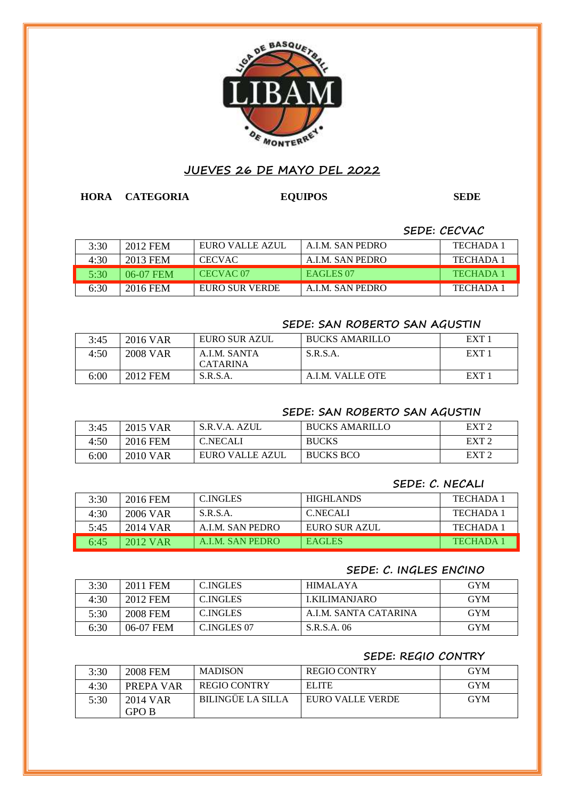

# **JUEVES 26 DE MAYO DEL 2022**

**HORA CATEGORIA EQUIPOS SEDE**

**SEDE: CECVAC**

| 3:30 | 2012 FEM  | EURO VALLE AZUL      | A.I.M. SAN PEDRO     | TECHADA 1        |
|------|-----------|----------------------|----------------------|------------------|
| 4:30 | 2013 FEM  | <b>CECVAC</b>        | A.I.M. SAN PEDRO     | TECHADA 1        |
| 5:30 | 06-07 FEM | CECVAC <sub>07</sub> | EAGLES <sub>07</sub> | <b>TECHADA 1</b> |
| 6:30 | 2016 FEM  | EURO SUR VERDE       | A.I.M. SAN PEDRO     | TECHADA 1        |

## **SEDE: SAN ROBERTO SAN AGUSTIN**

| 3:45 | 2016 VAR | EURO SUR AZUL                   | <b>BUCKS AMARILLO</b> | EXT <sub>1</sub> |
|------|----------|---------------------------------|-----------------------|------------------|
| 4:50 | 2008 VAR | A.I.M. SANTA<br><b>CATARINA</b> | S.R.S.A.              | EXT <sub>1</sub> |
| 6:00 | 2012 FEM | S.R.S.A.                        | A.I.M. VALLE OTE      | EXT <sub>1</sub> |

## **SEDE: SAN ROBERTO SAN AGUSTIN**

| 3:45 | 2015 VAR | S.R.V.A. AZUL   | <b>BUCKS AMARILLO</b> | EXT <sub>2</sub> |
|------|----------|-----------------|-----------------------|------------------|
| 4:50 | 2016 FEM | <b>C.NECALI</b> | <b>BUCKS</b>          | EXT <sub>2</sub> |
| 6:00 | 2010 VAR | EURO VALLE AZUL | <b>BUCKS BCO</b>      | EXT <sub>2</sub> |

## **SEDE: C. NECALI**

| 3:30 | 2016 FEM   | C.INGLES         | <b>HIGHLANDS</b> | TECHADA 1       |
|------|------------|------------------|------------------|-----------------|
| 4:30 | 2006 VAR   | S.R.S.A.         | <b>C.NECALI</b>  | TECHADA 1       |
| 5:45 | 2014 VAR   | A.I.M. SAN PEDRO | EURO SUR AZUL    | TECHADA 1       |
| 6:45 | $2012$ VAR | A.I.M. SAN PEDRO | <b>EAGLES</b>    | <b>TECHADA1</b> |

### **SEDE: C. INGLES ENCINO**

| 3:30 | 2011 FEM  | <b>C.INGLES</b> | HIMALAYA             | <b>GYM</b> |
|------|-----------|-----------------|----------------------|------------|
| 4:30 | 2012 FEM  | C.INGLES        | LKILIMANIARO         | <b>GYM</b> |
| 5:30 | 2008 FEM  | C. INGLES       | A LM. SANTA CATARINA | <b>GYM</b> |
| 6:30 | 06-07 FEM | C.INGLES 07     | S.R.S.A. 06          | <b>GYM</b> |

#### **SEDE: REGIO CONTRY**

| 3:30 | <b>2008 FEM</b> | <b>MADISON</b>      | <b>REGIO CONTRY</b> | GYM        |
|------|-----------------|---------------------|---------------------|------------|
| 4:30 | PREPA VAR       | <b>REGIO CONTRY</b> | <b>ELITE</b>        | <b>GYM</b> |
| 5:30 | 2014 VAR        | BILINGÜE LA SILLA   | EURO VALLE VERDE    | GYM        |
|      | GPO B           |                     |                     |            |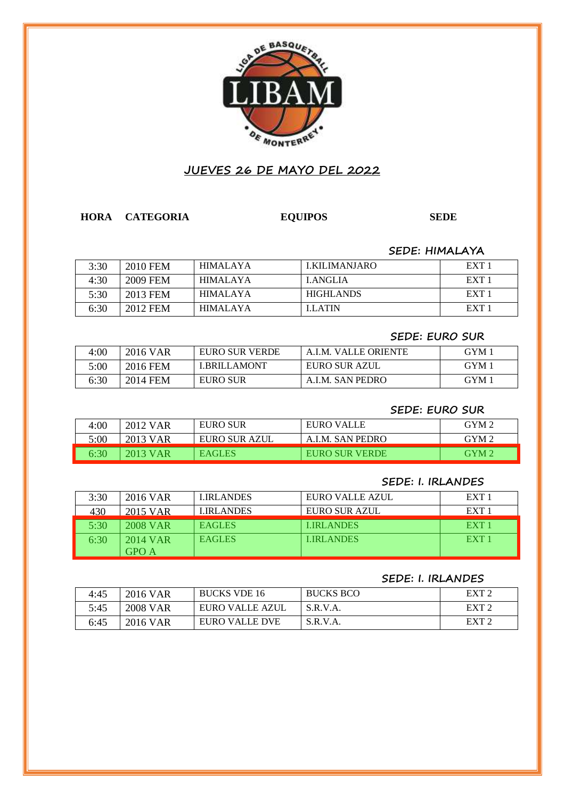

# **JUEVES 26 DE MAYO DEL 2022**

**HORA CATEGORIA EQUIPOS SEDE SEDE**

### **SEDE: HIMALAYA**

| 3:30 | <b>2010 FEM</b> | HIMALAYA | LKILIMANIARO     | EXT <sub>1</sub> |
|------|-----------------|----------|------------------|------------------|
| 4:30 | 2009 FEM        | HIMALAYA | LANGLIA          | EXT <sub>1</sub> |
| 5:30 | 2013 FEM        | HIMALAYA | <b>HIGHLANDS</b> | EXT <sub>1</sub> |
| 6:30 | 2012 FEM        | HIMALAYA | <b>LLATIN</b>    | EXT <sub>1</sub> |

#### **SEDE: EURO SUR**

| 4:00 | 2016 VAR | EURO SUR VERDE     | A.I.M. VALLE ORIENTE | GYM 1 |
|------|----------|--------------------|----------------------|-------|
| 5:00 | 2016 FEM | <b>LBRILLAMONT</b> | EURO SUR AZUL        | GYM 1 |
| 6:30 | 2014 FEM | <b>EURO SUR</b>    | A.I.M. SAN PEDRO     | GYM 1 |

### **SEDE: EURO SUR**

| 4:00 | 2012 VAR | <b>EURO SUR</b> | EURO VALLE       | GYM <sub>2</sub> |
|------|----------|-----------------|------------------|------------------|
| 5:00 | 2013 VAR | EURO SUR AZUL   | A.I.M. SAN PEDRO | GYM 2            |
| 6:30 | 2013 VAR | <b>EAGLES</b>   | EURO SUR VERDE   | GYM <sub>2</sub> |

### **SEDE: I. IRLANDES**

| 3:30 | 2016 VAR | <b>LIRLANDES</b> | EURO VALLE AZUL  | EXT <sub>1</sub> |
|------|----------|------------------|------------------|------------------|
| 430  | 2015 VAR | LIRLANDES        | EURO SUR AZUL    | EXT <sub>1</sub> |
| 5:30 | 2008 VAR | <b>EAGLES</b>    | <b>LIRLANDES</b> | EXT <sub>1</sub> |
| 6:30 | 2014 VAR | <b>EAGLES</b>    | <b>LIRLANDES</b> | EXT <sub>1</sub> |
|      | GPO A    |                  |                  |                  |

#### **SEDE: I. IRLANDES**

| 4:45 | 2016 VAR        | <b>BUCKS VDE 16</b> | <b>BUCKS BCO</b> | EXT <sub>2</sub>              |
|------|-----------------|---------------------|------------------|-------------------------------|
| 5:45 | <b>2008 VAR</b> | EURO VALLE AZUL     | S.R.V.A.         | EXT <sub>2</sub>              |
| 6:45 | 2016 VAR        | EURO VALLE DVE      | S.R.V.A.         | $\boldsymbol{\mathrm{EXT}}$ ? |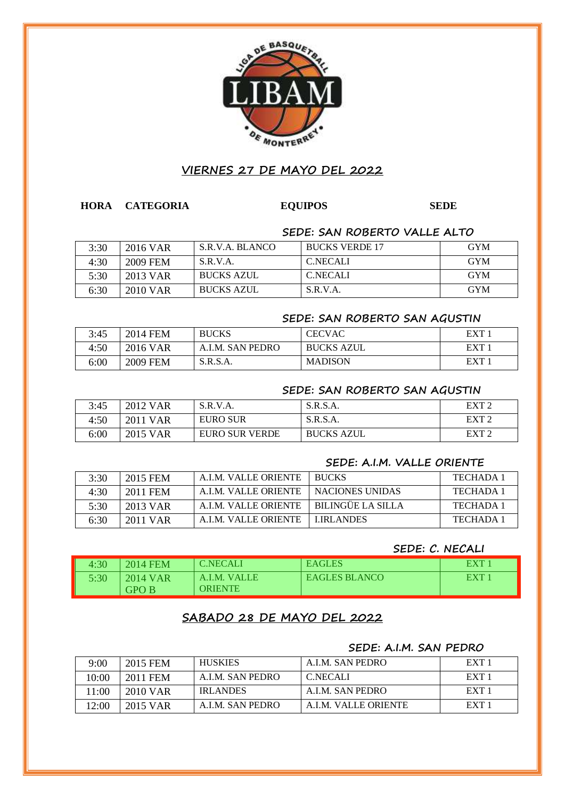

## **VIERNES 27 DE MAYO DEL 2022**

### **HORA CATEGORIA EQUIPOS SEDE**

#### **SEDE: SAN ROBERTO VALLE ALTO**

| 3:30 | 2016 VAR | S.R.V.A. BLANCO   | <b>BUCKS VERDE 17</b> | <b>GYM</b> |
|------|----------|-------------------|-----------------------|------------|
| 4:30 | 2009 FEM | S.R.V.A.          | <b>C.NECALI</b>       | <b>GYM</b> |
| 5:30 | 2013 VAR | <b>BUCKS AZUL</b> | <b>C.NECALI</b>       | <b>GYM</b> |
| 6:30 | 2010 VAR | <b>BUCKS AZUL</b> | S.R.V.A.              | <b>GYM</b> |

#### **SEDE: SAN ROBERTO SAN AGUSTIN**

| 3:45 | 2014 FEM        | <b>BUCKS</b>     | CECVAC            | EXT <sup>1</sup> |
|------|-----------------|------------------|-------------------|------------------|
| 4:50 | 2016 VAR        | A.I.M. SAN PEDRO | <b>BUCKS AZUL</b> | EXT 1            |
| 6:00 | <b>2009 FEM</b> | S.R.S.A.         | <b>MADISON</b>    | EXT              |

## **SEDE: SAN ROBERTO SAN AGUSTIN**

| 3:45 | 2012 VAR | S.R.V.A.              | S.R.S.A.          | EXT <sub>2</sub> |
|------|----------|-----------------------|-------------------|------------------|
| 4:50 | 2011 VAR | <b>EURO SUR</b>       | S.R.S.A.          | EXT <sub>2</sub> |
| 6:00 | 2015 VAR | <b>EURO SUR VERDE</b> | <b>BUCKS AZUL</b> | EXT <sub>2</sub> |

### **SEDE: A.I.M. VALLE ORIENTE**

| 3:30 | 2015 FEM | A.I.M. VALLE ORIENTE | <b>BUCKS</b>             | TECHADA 1 |
|------|----------|----------------------|--------------------------|-----------|
| 4:30 | 2011 FEM | A.I.M. VALLE ORIENTE | I NACIONES UNIDAS        | TECHADA 1 |
| 5:30 | 2013 VAR | A.I.M. VALLE ORIENTE | <b>BILINGÜE LA SILLA</b> | TECHADA 1 |
| 6:30 | 2011 VAR | A LM. VALLE ORIENTE  | LIRLANDES                | TECHADA 1 |

## **SEDE: C. NECALI**

| 4:30 | 2014 FEM                 | <b>C.NECALI</b>         | <b>EAGLES</b>        | EXT  |
|------|--------------------------|-------------------------|----------------------|------|
| 5:30 | 2014 VAR<br><b>GPO B</b> | A.I.M. VALLE<br>ORIENTE | <b>EAGLES BLANCO</b> | EXT' |

# **SABADO 28 DE MAYO DEL 2022**

## **SEDE: A.I.M. SAN PEDRO**

| 9:00  | 2015 FEM | <b>HUSKIES</b>   | A.I.M. SAN PEDRO     | EXT 1            |
|-------|----------|------------------|----------------------|------------------|
| 10:00 | 2011 FEM | A.I.M. SAN PEDRO | <b>C.NECALI</b>      | EXT <sub>1</sub> |
| 11:00 | 2010 VAR | <b>IRLANDES</b>  | A.I.M. SAN PEDRO     | EXT <sub>1</sub> |
| 12:00 | 2015 VAR | A.I.M. SAN PEDRO | A.I.M. VALLE ORIENTE | EXT <sub>1</sub> |